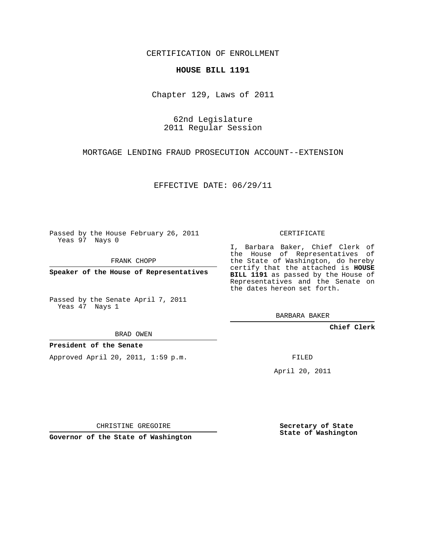CERTIFICATION OF ENROLLMENT

#### **HOUSE BILL 1191**

Chapter 129, Laws of 2011

## 62nd Legislature 2011 Regular Session

MORTGAGE LENDING FRAUD PROSECUTION ACCOUNT--EXTENSION

EFFECTIVE DATE: 06/29/11

Passed by the House February 26, 2011 Yeas 97 Nays 0

FRANK CHOPP

**Speaker of the House of Representatives**

Passed by the Senate April 7, 2011 Yeas 47 Nays 1

BRAD OWEN

### **President of the Senate**

Approved April 20, 2011, 1:59 p.m.

CERTIFICATE

I, Barbara Baker, Chief Clerk of the House of Representatives of the State of Washington, do hereby certify that the attached is **HOUSE BILL 1191** as passed by the House of Representatives and the Senate on the dates hereon set forth.

BARBARA BAKER

**Chief Clerk**

FILED

April 20, 2011

CHRISTINE GREGOIRE

**Governor of the State of Washington**

**Secretary of State State of Washington**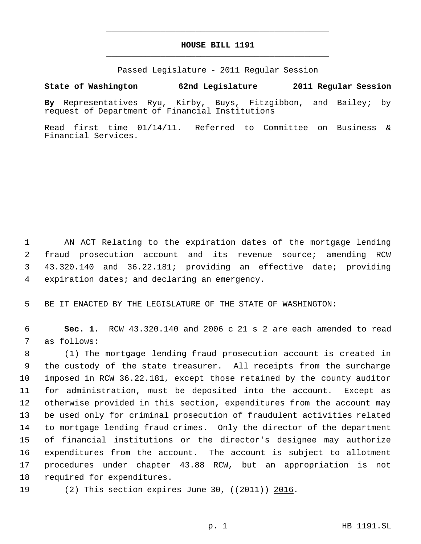# **HOUSE BILL 1191** \_\_\_\_\_\_\_\_\_\_\_\_\_\_\_\_\_\_\_\_\_\_\_\_\_\_\_\_\_\_\_\_\_\_\_\_\_\_\_\_\_\_\_\_\_

\_\_\_\_\_\_\_\_\_\_\_\_\_\_\_\_\_\_\_\_\_\_\_\_\_\_\_\_\_\_\_\_\_\_\_\_\_\_\_\_\_\_\_\_\_

Passed Legislature - 2011 Regular Session

### **State of Washington 62nd Legislature 2011 Regular Session**

**By** Representatives Ryu, Kirby, Buys, Fitzgibbon, and Bailey; by request of Department of Financial Institutions

Read first time 01/14/11. Referred to Committee on Business & Financial Services.

 AN ACT Relating to the expiration dates of the mortgage lending fraud prosecution account and its revenue source; amending RCW 43.320.140 and 36.22.181; providing an effective date; providing expiration dates; and declaring an emergency.

BE IT ENACTED BY THE LEGISLATURE OF THE STATE OF WASHINGTON:

 **Sec. 1.** RCW 43.320.140 and 2006 c 21 s 2 are each amended to read as follows:

 (1) The mortgage lending fraud prosecution account is created in the custody of the state treasurer. All receipts from the surcharge imposed in RCW 36.22.181, except those retained by the county auditor for administration, must be deposited into the account. Except as otherwise provided in this section, expenditures from the account may be used only for criminal prosecution of fraudulent activities related to mortgage lending fraud crimes. Only the director of the department of financial institutions or the director's designee may authorize expenditures from the account. The account is subject to allotment procedures under chapter 43.88 RCW, but an appropriation is not required for expenditures.

19 (2) This section expires June 30, ((<del>2011</del>)) 2016.